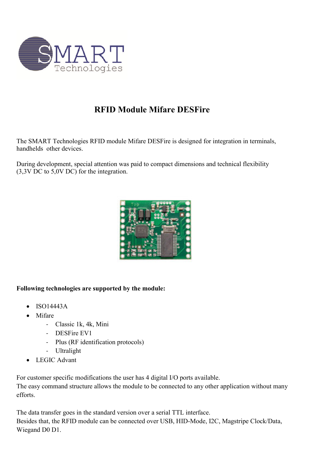

## **RFID Module Mifare DESFire**

The SMART Technologies RFID module Mifare DESFire is designed for integration in terminals, handhelds other devices.

During development, special attention was paid to compact dimensions and technical flexibility (3,3V DC to 5,0V DC) for the integration.



## **Following technologies are supported by the module:**

- ISO14443A
- Mifare
	- Classic 1k, 4k, Mini
	- DESFire EV1
	- Plus (RF identification protocols)
	- Ultralight
- LEGIC Advant

For customer specific modifications the user has 4 digital I/O ports available.

The easy command structure allows the module to be connected to any other application without many efforts.

The data transfer goes in the standard version over a serial TTL interface. Besides that, the RFID module can be connected over USB, HID-Mode, I2C, Magstripe Clock/Data, Wiegand D0 D1.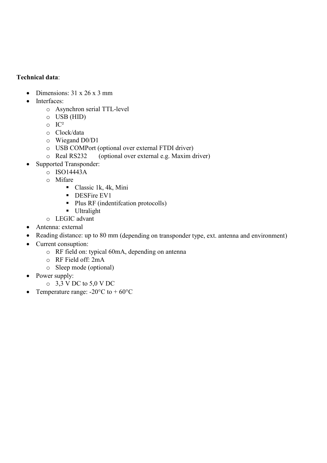## **Technical data**:

- Dimensions:  $31 \times 26 \times 3$  mm
- Interfaces:
	- o Asynchron serial TTL-level
	- o USB (HID)
	- o IC²
	- o Clock/data
	- o Wiegand D0/D1
	- o USB COMPort (optional over external FTDI driver)
	- o Real RS232 (optional over external e.g. Maxim driver)
- Supported Transponder:
	- $O$  ISO14443A
	- o Mifare
		- Classic 1k, 4k, Mini
		- **DESFire EV1**
		- Plus RF (indentification protocolls)
		- **Ultralight**
	- o LEGIC advant
- Antenna: external
- Reading distance: up to 80 mm (depending on transponder type, ext. antenna and environment)
- Current consuption:
	- o RF field on: typical 60mA, depending on antenna
	- o RF Field off: 2mA
	- o Sleep mode (optional)
- Power supply:
	- o 3,3 V DC to 5,0 V DC
- Temperature range:  $-20^{\circ}$ C to  $+60^{\circ}$ C